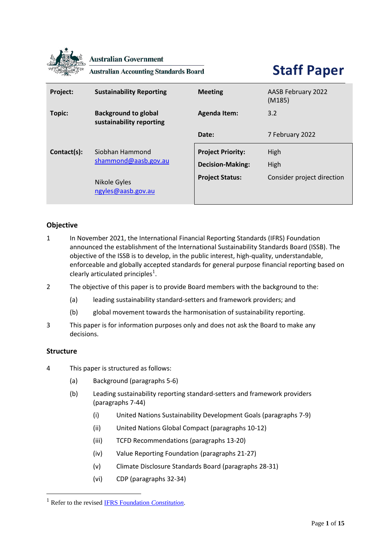

**Australian Government** 

**Australian Accounting Standards Board** 

# **Staff Paper**

| Project:    | <b>Sustainability Reporting</b>                         | <b>Meeting</b>                                      | <b>AASB February 2022</b><br>(M185) |
|-------------|---------------------------------------------------------|-----------------------------------------------------|-------------------------------------|
| Topic:      | <b>Background to global</b><br>sustainability reporting | <b>Agenda Item:</b>                                 | 3.2                                 |
|             |                                                         | Date:                                               | 7 February 2022                     |
| Contact(s): | Siobhan Hammond<br>shammond@aasb.gov.au                 | <b>Project Priority:</b><br><b>Decision-Making:</b> | High<br>High                        |
|             | Nikole Gyles<br>ngyles@aasb.gov.au                      | <b>Project Status:</b>                              | Consider project direction          |

# **Objective**

- 1 In November 2021, the International Financial Reporting Standards (IFRS) Foundation announced the establishment of the International Sustainability Standards Board (ISSB). The objective of the ISSB is to develop, in the public interest, high-quality, understandable, enforceable and globally accepted standards for general purpose financial reporting based on clearly articulated principles<sup>1</sup>.
- 2 The objective of this paper is to provide Board members with the background to the:
	- (a) leading sustainability standard-setters and framework providers; and
	- (b) global movement towards the harmonisation of sustainability reporting.
- 3 This paper is for information purposes only and does not ask the Board to make any decisions.

### **Structure**

- 4 This paper is structured as follows:
	- (a) Background (paragraphs 5-6)
	- (b) Leading sustainability reporting standard-setters and framework providers (paragraphs 7-44)
		- (i) United Nations Sustainability Development Goals (paragraphs 7-9)
		- (ii) United Nations Global Compact (paragraphs 10-12)
		- (iii) TCFD Recommendations (paragraphs 13-20)
		- (iv) Value Reporting Foundation (paragraphs 21-27)
		- (v) Climate Disclosure Standards Board (paragraphs 28-31)
		- (vi) CDP (paragraphs 32-34)

<sup>1</sup> Refer to the revised [IFRS Foundation](https://www.ifrs.org/content/dam/ifrs/about-us/legal-and-governance/constitution-docs/ifrs-foundation-constitution-2021.pdf) *Constitution*.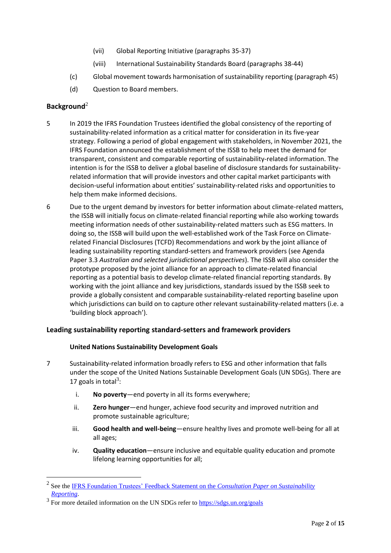- (vii) Global Reporting Initiative (paragraphs 35-37)
- (viii) International Sustainability Standards Board (paragraphs 38-44)
- (c) Global movement towards harmonisation of sustainability reporting (paragraph 45)
- (d) Question to Board members.

# **Background**<sup>2</sup>

- 5 In 2019 the IFRS Foundation Trustees identified the global consistency of the reporting of sustainability-related information as a critical matter for consideration in its five-year strategy. Following a period of global engagement with stakeholders, in November 2021, the IFRS Foundation announced the establishment of the ISSB to help meet the demand for transparent, consistent and comparable reporting of sustainability-related information. The intention is for the ISSB to deliver a global baseline of disclosure standards for sustainabilityrelated information that will provide investors and other capital market participants with decision-useful information about entities' sustainability-related risks and opportunities to help them make informed decisions.
- 6 Due to the urgent demand by investors for better information about climate-related matters, the ISSB will initially focus on climate-related financial reporting while also working towards meeting information needs of other sustainability-related matters such as ESG matters. In doing so, the ISSB will build upon the well-established work of the Task Force on Climaterelated Financial Disclosures (TCFD) Recommendations and work by the joint alliance of leading sustainability reporting standard-setters and framework providers (see Agenda Paper 3.3 *Australian and selected jurisdictional perspectives*). The ISSB will also consider the prototype proposed by the joint alliance for an approach to climate-related financial reporting as a potential basis to develop climate-related financial reporting standards. By working with the joint alliance and key jurisdictions, standards issued by the ISSB seek to provide a globally consistent and comparable sustainability-related reporting baseline upon which jurisdictions can build on to capture other relevant sustainability-related matters (i.e. a 'building block approach').

### **Leading sustainability reporting standard-setters and framework providers**

### **United Nations Sustainability Development Goals**

- 7 Sustainability-related information broadly refers to ESG and other information that falls under the scope of the United Nations Sustainable Development Goals (UN SDGs). There are 17 goals in total<sup>3</sup>:
	- i. **No poverty**—end poverty in all its forms everywhere;
	- ii. **Zero hunger**—end hunger, achieve food security and improved nutrition and promote sustainable agriculture;
	- iii. **Good health and well-being**—ensure healthy lives and promote well-being for all at all ages;
	- iv. **Quality education**—ensure inclusive and equitable quality education and promote lifelong learning opportunities for all;

<sup>2</sup> See the IFRS Foundation Trustees' Feedback Statement on the *[Consultation Paper on Sustainability](https://www.ifrs.org/content/dam/ifrs/project/sustainability-reporting/sustainability-consultation-paper-feedback-statement.pdf)  [Reporting](https://www.ifrs.org/content/dam/ifrs/project/sustainability-reporting/sustainability-consultation-paper-feedback-statement.pdf)*.

<sup>&</sup>lt;sup>3</sup> For more detailed information on the UN SDGs refer to<https://sdgs.un.org/goals>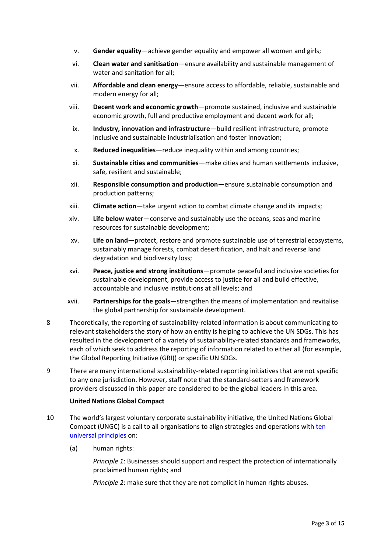- v. **Gender equality**—achieve gender equality and empower all women and girls;
- vi. **Clean water and sanitisation**—ensure availability and sustainable management of water and sanitation for all;
- vii. **Affordable and clean energy**—ensure access to affordable, reliable, sustainable and modern energy for all;
- viii. **Decent work and economic growth**—promote sustained, inclusive and sustainable economic growth, full and productive employment and decent work for all;
- ix. **Industry, innovation and infrastructure**—build resilient infrastructure, promote inclusive and sustainable industrialisation and foster innovation;
- x. **Reduced inequalities**—reduce inequality within and among countries;
- xi. **Sustainable cities and communities**—make cities and human settlements inclusive, safe, resilient and sustainable;
- xii. **Responsible consumption and production**—ensure sustainable consumption and production patterns;
- xiii. **Climate action**—take urgent action to combat climate change and its impacts;
- xiv. **Life below water**—conserve and sustainably use the oceans, seas and marine resources for sustainable development;
- xv. **Life on land**—protect, restore and promote sustainable use of terrestrial ecosystems, sustainably manage forests, combat desertification, and halt and reverse land degradation and biodiversity loss;
- xvi. **Peace, justice and strong institutions**—promote peaceful and inclusive societies for sustainable development, provide access to justice for all and build effective, accountable and inclusive institutions at all levels; and
- xvii. **Partnerships for the goals**—strengthen the means of implementation and revitalise the global partnership for sustainable development.
- 8 Theoretically, the reporting of sustainability-related information is about communicating to relevant stakeholders the story of how an entity is helping to achieve the UN SDGs. This has resulted in the development of a variety of sustainability-related standards and frameworks, each of which seek to address the reporting of information related to either all (for example, the Global Reporting Initiative (GRI)) or specific UN SDGs.
- 9 There are many international sustainability-related reporting initiatives that are not specific to any one jurisdiction. However, staff note that the standard-setters and framework providers discussed in this paper are considered to be the global leaders in this area.

### **United Nations Global Compact**

- 10 The world's largest voluntary corporate sustainability initiative, the United Nations Global Compact (UNGC) is a call to all organisations to align strategies and operations with [ten](https://www.unglobalcompact.org/what-is-gc/mission/principles)  [universal principles](https://www.unglobalcompact.org/what-is-gc/mission/principles) on:
	- (a) human rights:

*Principle 1*: Businesses should support and respect the protection of internationally proclaimed human rights; and

*Principle 2*: make sure that they are not complicit in human rights abuses.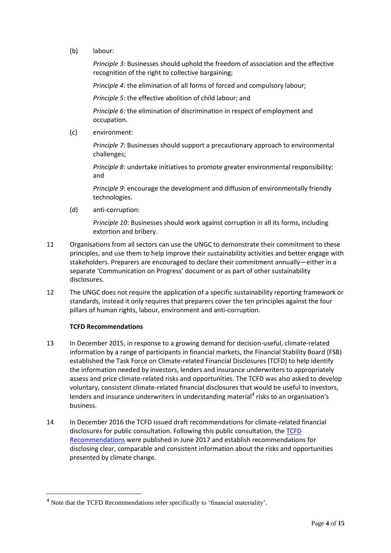(b) labour:

*Principle 3*: Businesses should uphold the freedom of association and the effective recognition of the right to collective bargaining;

*Principle 4*: the elimination of all forms of forced and compulsory labour;

*Principle 5*: the effective abolition of child labour; and

*Principle 6*: the elimination of discrimination in respect of employment and occupation.

(c) environment:

*Principle 7*: Businesses should support a precautionary approach to environmental challenges;

*Principle 8*: undertake initiatives to promote greater environmental responsibility; and

*Principle 9*: encourage the development and diffusion of environmentally friendly technologies.

(d) anti-corruption:

*Principle 10*: Businesses should work against corruption in all its forms, including extortion and bribery.

- 11 Organisations from all sectors can use the UNGC to demonstrate their commitment to these principles, and use them to help improve their sustainability activities and better engage with stakeholders. Preparers are encouraged to declare their commitment annually—either in a separate 'Communication on Progress' document or as part of other sustainability disclosures.
- 12 The UNGC does not require the application of a specific sustainability reporting framework or standards, instead it only requires that preparers cover the ten principles against the four pillars of human rights, labour, environment and anti-corruption.

### **TCFD Recommendations**

- 13 In December 2015, in response to a growing demand for decision-useful, climate-related information by a range of participants in financial markets, the Financial Stability Board (FSB) established the Task Force on Climate-related Financial Disclosures (TCFD) to help identify the information needed by investors, lenders and insurance underwriters to appropriately assess and price climate-related risks and opportunities. The TCFD was also asked to develop voluntary, consistent climate-related financial disclosures that would be useful to investors, lenders and insurance underwriters in understanding material<sup>4</sup> risks to an organisation's business.
- 14 In December 2016 the TCFD issued draft recommendations for climate-related financial disclosures for public consultation. Following this public consultation, the [TCFD](https://assets.bbhub.io/company/sites/60/2021/10/FINAL-2017-TCFD-Report.pdf)  [Recommendations](https://assets.bbhub.io/company/sites/60/2021/10/FINAL-2017-TCFD-Report.pdf) were published in June 2017 and establish recommendations for disclosing clear, comparable and consistent information about the risks and opportunities presented by climate change.

<sup>&</sup>lt;sup>4</sup> Note that the TCFD Recommendations refer specifically to 'financial materiality'.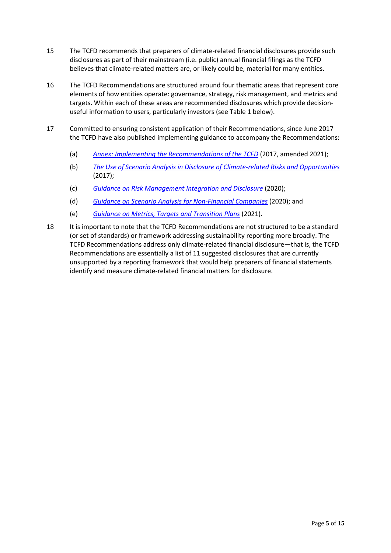- 15 The TCFD recommends that preparers of climate-related financial disclosures provide such disclosures as part of their mainstream (i.e. public) annual financial filings as the TCFD believes that climate-related matters are, or likely could be, material for many entities.
- 16 The TCFD Recommendations are structured around four thematic areas that represent core elements of how entities operate: governance, strategy, risk management, and metrics and targets. Within each of these areas are recommended disclosures which provide decisionuseful information to users, particularly investors (see Table 1 below).
- 17 Committed to ensuring consistent application of their Recommendations, since June 2017 the TCFD have also published implementing guidance to accompany the Recommendations:
	- (a) *[Annex: Implementing the Recommendations of the TCFD](https://assets.bbhub.io/company/sites/60/2021/07/2021-TCFD-Implementing_Guidance.pdf)* (2017, amended 2021);
	- (b) *[The Use of Scenario Analysis in Disclosure of Climate-related Risks and Opportunities](https://assets.bbhub.io/company/sites/60/2021/03/FINAL-TCFD-Technical-Supplement-062917.pdf)* (2017);
	- (c) *[Guidance on Risk Management Integration and Disclosure](https://assets.bbhub.io/company/sites/60/2020/09/2020-TCFD_Guidance-Risk-Management-Integration-and-Disclosure.pdf)* (2020);
	- (d) *[Guidance on Scenario Analysis for Non-Financial Companies](https://assets.bbhub.io/company/sites/60/2020/09/2020-TCFD_Guidance-Scenario-Analysis-Guidance.pdf)* (2020); and
	- (e) *[Guidance on Metrics, Targets and Transition Plans](https://assets.bbhub.io/company/sites/60/2021/07/2021-Metrics_Targets_Guidance-1.pdf)* (2021).
- 18 It is important to note that the TCFD Recommendations are not structured to be a standard (or set of standards) or framework addressing sustainability reporting more broadly. The TCFD Recommendations address only climate-related financial disclosure—that is, the TCFD Recommendations are essentially a list of 11 suggested disclosures that are currently unsupported by a reporting framework that would help preparers of financial statements identify and measure climate-related financial matters for disclosure.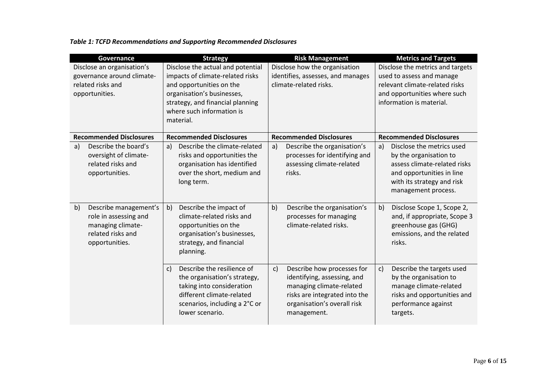# *Table 1: TCFD Recommendations and Supporting Recommended Disclosures*

| Governance                                                                                                       | <b>Strategy</b>                                                                                                                                                                | <b>Risk Management</b>                                                                                                                                                                 | <b>Metrics and Targets</b>                                                                                                                                                  |
|------------------------------------------------------------------------------------------------------------------|--------------------------------------------------------------------------------------------------------------------------------------------------------------------------------|----------------------------------------------------------------------------------------------------------------------------------------------------------------------------------------|-----------------------------------------------------------------------------------------------------------------------------------------------------------------------------|
| Disclose an organisation's<br>governance around climate-                                                         | Disclose the actual and potential<br>impacts of climate-related risks                                                                                                          | Disclose how the organisation<br>identifies, assesses, and manages                                                                                                                     | Disclose the metrics and targets<br>used to assess and manage                                                                                                               |
| related risks and                                                                                                | and opportunities on the                                                                                                                                                       | climate-related risks.                                                                                                                                                                 | relevant climate-related risks                                                                                                                                              |
| opportunities.                                                                                                   | organisation's businesses,<br>strategy, and financial planning<br>where such information is<br>material.                                                                       |                                                                                                                                                                                        | and opportunities where such<br>information is material.                                                                                                                    |
| <b>Recommended Disclosures</b>                                                                                   | <b>Recommended Disclosures</b>                                                                                                                                                 | <b>Recommended Disclosures</b>                                                                                                                                                         | <b>Recommended Disclosures</b>                                                                                                                                              |
| Describe the board's<br>a)<br>oversight of climate-<br>related risks and<br>opportunities.                       | Describe the climate-related<br>a)<br>risks and opportunities the<br>organisation has identified<br>over the short, medium and<br>long term.                                   | Describe the organisation's<br>a)<br>processes for identifying and<br>assessing climate-related<br>risks.                                                                              | Disclose the metrics used<br>a)<br>by the organisation to<br>assess climate-related risks<br>and opportunities in line<br>with its strategy and risk<br>management process. |
| Describe management's<br>b)<br>role in assessing and<br>managing climate-<br>related risks and<br>opportunities. | b)<br>Describe the impact of<br>climate-related risks and<br>opportunities on the<br>organisation's businesses,<br>strategy, and financial<br>planning.                        | Describe the organisation's<br>b)<br>processes for managing<br>climate-related risks.                                                                                                  | Disclose Scope 1, Scope 2,<br>b)<br>and, if appropriate, Scope 3<br>greenhouse gas (GHG)<br>emissions, and the related<br>risks.                                            |
|                                                                                                                  | Describe the resilience of<br>c)<br>the organisation's strategy,<br>taking into consideration<br>different climate-related<br>scenarios, including a 2°C or<br>lower scenario. | Describe how processes for<br>$\mathsf{c}$ )<br>identifying, assessing, and<br>managing climate-related<br>risks are integrated into the<br>organisation's overall risk<br>management. | Describe the targets used<br>$\mathsf{c}$ )<br>by the organisation to<br>manage climate-related<br>risks and opportunities and<br>performance against<br>targets.           |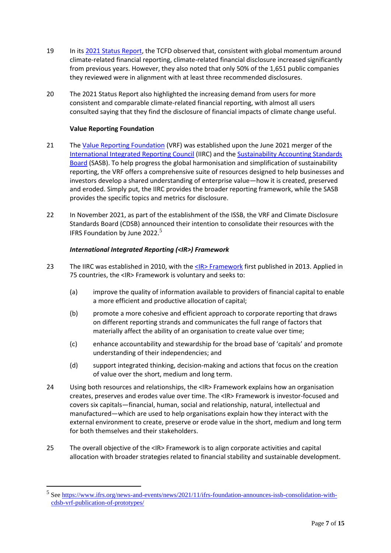- 19 In its [2021 Status Report,](https://assets.bbhub.io/company/sites/60/2021/07/2021-TCFD-Status_Report.pdf) the TCFD observed that, consistent with global momentum around climate-related financial reporting, climate-related financial disclosure increased significantly from previous years. However, they also noted that only 50% of the 1,651 public companies they reviewed were in alignment with at least three recommended disclosures.
- 20 The 2021 Status Report also highlighted the increasing demand from users for more consistent and comparable climate-related financial reporting, with almost all users consulted saying that they find the disclosure of financial impacts of climate change useful.

# **Value Reporting Foundation**

- 21 Th[e Value Reporting Foundation](https://www.valuereportingfoundation.org/about/) (VRF) was established upon the June 2021 merger of the [International Integrated Reporting Council](https://www.integratedreporting.org/the-iirc-2/) (IIRC) and th[e Sustainability Accounting Standards](https://www.sasb.org/)  [Board](https://www.sasb.org/) (SASB). To help progress the global harmonisation and simplification of sustainability reporting, the VRF offers a comprehensive suite of resources designed to help businesses and investors develop a shared understanding of enterprise value—how it is created, preserved and eroded. Simply put, the IIRC provides the broader reporting framework, while the SASB provides the specific topics and metrics for disclosure.
- 22 In November 2021, as part of the establishment of the ISSB, the VRF and Climate Disclosure Standards Board (CDSB) announced their intention to consolidate their resources with the IFRS Foundation by June 2022.<sup>5</sup>

# *International Integrated Reporting (<IR>) Framework*

- 23 The IIRC was established in 2010, with the <IR>Framework first published in 2013. Applied in 75 countries, the <IR> Framework is voluntary and seeks to:
	- (a) improve the quality of information available to providers of financial capital to enable a more efficient and productive allocation of capital;
	- (b) promote a more cohesive and efficient approach to corporate reporting that draws on different reporting strands and communicates the full range of factors that materially affect the ability of an organisation to create value over time;
	- (c) enhance accountability and stewardship for the broad base of 'capitals' and promote understanding of their independencies; and
	- (d) support integrated thinking, decision-making and actions that focus on the creation of value over the short, medium and long term.
- 24 Using both resources and relationships, the <IR> Framework explains how an organisation creates, preserves and erodes value over time. The <IR> Framework is investor-focused and covers six capitals—financial, human, social and relationship, natural, intellectual and manufactured—which are used to help organisations explain how they interact with the external environment to create, preserve or erode value in the short, medium and long term for both themselves and their stakeholders.
- 25 The overall objective of the <IR> Framework is to align corporate activities and capital allocation with broader strategies related to financial stability and sustainable development.

<sup>&</sup>lt;sup>5</sup> See [https://www.ifrs.org/news-and-events/news/2021/11/ifrs-foundation-announces-issb-consolidation-with](https://www.ifrs.org/news-and-events/news/2021/11/ifrs-foundation-announces-issb-consolidation-with-cdsb-vrf-publication-of-prototypes/)[cdsb-vrf-publication-of-prototypes/](https://www.ifrs.org/news-and-events/news/2021/11/ifrs-foundation-announces-issb-consolidation-with-cdsb-vrf-publication-of-prototypes/)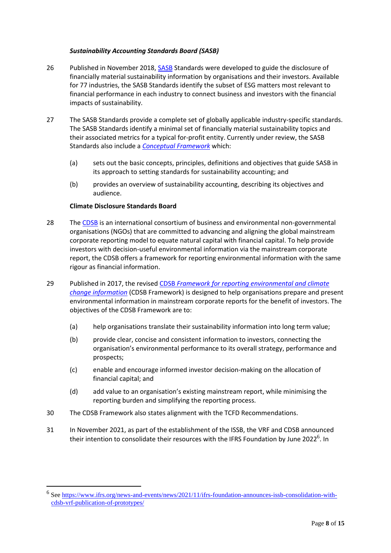### *Sustainability Accounting Standards Board (SASB)*

- 26 Published in November 2018[, SASB](https://www.sasb.org/about/) Standards were developed to guide the disclosure of financially material sustainability information by organisations and their investors. Available for 77 industries, the SASB Standards identify the subset of ESG matters most relevant to financial performance in each industry to connect business and investors with the financial impacts of sustainability.
- 27 The SASB Standards provide a complete set of globally applicable industry-specific standards. The SASB Standards identify a minimal set of financially material sustainability topics and their associated metrics for a typical for-profit entity. Currently under review, the SASB Standards also include a *[Conceptual Framework](https://www.sasb.org/standards/conceptual-framework/)* which:
	- (a) sets out the basic concepts, principles, definitions and objectives that guide SASB in its approach to setting standards for sustainability accounting; and
	- (b) provides an overview of sustainability accounting, describing its objectives and audience.

### **Climate Disclosure Standards Board**

- 28 Th[e CDSB](https://www.ifrs.org/sustainability/climate-disclosure-standards-board/) is an international consortium of business and environmental non-governmental organisations (NGOs) that are committed to advancing and aligning the global mainstream corporate reporting model to equate natural capital with financial capital. To help provide investors with decision-useful environmental information via the mainstream corporate report, the CDSB offers a framework for reporting environmental information with the same rigour as financial information.
- 29 Published in 2017, the revised CDSB *[Framework for reporting environmental and climate](https://www.ifrs.org/content/dam/ifrs/groups/cdsb/cdsb-framework-2022.pdf)  [change information](https://www.ifrs.org/content/dam/ifrs/groups/cdsb/cdsb-framework-2022.pdf)* (CDSB Framework) is designed to help organisations prepare and present environmental information in mainstream corporate reports for the benefit of investors. The objectives of the CDSB Framework are to:
	- (a) help organisations translate their sustainability information into long term value;
	- (b) provide clear, concise and consistent information to investors, connecting the organisation's environmental performance to its overall strategy, performance and prospects;
	- (c) enable and encourage informed investor decision-making on the allocation of financial capital; and
	- (d) add value to an organisation's existing mainstream report, while minimising the reporting burden and simplifying the reporting process.
- 30 The CDSB Framework also states alignment with the TCFD Recommendations.
- 31 In November 2021, as part of the establishment of the ISSB, the VRF and CDSB announced their intention to consolidate their resources with the IFRS Foundation by June 2022<sup>6</sup>. In

<sup>&</sup>lt;sup>6</sup> See [https://www.ifrs.org/news-and-events/news/2021/11/ifrs-foundation-announces-issb-consolidation-with](https://www.ifrs.org/news-and-events/news/2021/11/ifrs-foundation-announces-issb-consolidation-with-cdsb-vrf-publication-of-prototypes/)[cdsb-vrf-publication-of-prototypes/](https://www.ifrs.org/news-and-events/news/2021/11/ifrs-foundation-announces-issb-consolidation-with-cdsb-vrf-publication-of-prototypes/)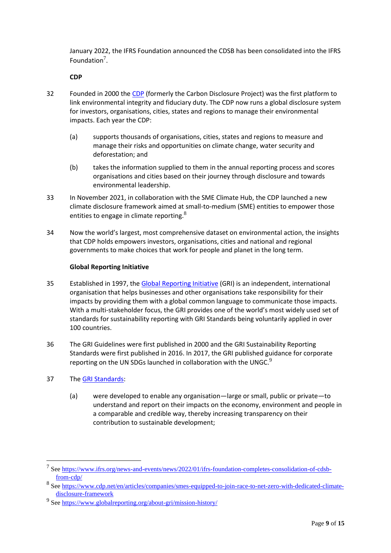January 2022, the IFRS Foundation announced the CDSB has been consolidated into the IFRS Foundation $<sup>7</sup>$ .</sup>

### **CDP**

- 32 Founded in 2000 the [CDP](https://www.cdp.net/en/info/about-us/what-we-do) (formerly the Carbon Disclosure Project) was the first platform to link environmental integrity and fiduciary duty. The CDP now runs a global disclosure system for investors, organisations, cities, states and regions to manage their environmental impacts. Each year the CDP:
	- (a) supports thousands of organisations, cities, states and regions to measure and manage their risks and opportunities on climate change, water security and deforestation; and
	- (b) takes the information supplied to them in the annual reporting process and scores organisations and cities based on their journey through disclosure and towards environmental leadership.
- 33 In November 2021, in collaboration with the SME Climate Hub, the CDP launched a new climate disclosure framework aimed at small-to-medium (SME) entities to empower those entities to engage in climate reporting. $8<sup>8</sup>$
- 34 Now the world's largest, most comprehensive dataset on environmental action, the insights that CDP holds empowers investors, organisations, cities and national and regional governments to make choices that work for people and planet in the long term.

# **Global Reporting Initiative**

- 35 Established in 1997, th[e Global Reporting Initiative](https://www.globalreporting.org/about-gri/) (GRI) is an independent, international organisation that helps businesses and other organisations take responsibility for their impacts by providing them with a global common language to communicate those impacts. With a multi-stakeholder focus, the GRI provides one of the world's most widely used set of standards for sustainability reporting with GRI Standards being voluntarily applied in over 100 countries.
- 36 The GRI Guidelines were first published in 2000 and the GRI Sustainability Reporting Standards were first published in 2016. In 2017, the GRI published guidance for corporate reporting on the UN SDGs launched in collaboration with the UNGC. $9$
- 37 Th[e GRI Standards:](https://www.globalreporting.org/standards/)
	- (a) were developed to enable any organisation—large or small, public or private—to understand and report on their impacts on the economy, environment and people in a comparable and credible way, thereby increasing transparency on their contribution to sustainable development;

<sup>&</sup>lt;sup>7</sup> See [https://www.ifrs.org/news-and-events/news/2022/01/ifrs-foundation-completes-consolidation-of-cdsb](https://www.ifrs.org/news-and-events/news/2022/01/ifrs-foundation-completes-consolidation-of-cdsb-from-cdp/)[from-cdp/](https://www.ifrs.org/news-and-events/news/2022/01/ifrs-foundation-completes-consolidation-of-cdsb-from-cdp/)

<sup>&</sup>lt;sup>8</sup> See [https://www.cdp.net/en/articles/companies/smes-equipped-to-join-race-to-net-zero-with-dedicated-climate](https://www.cdp.net/en/articles/companies/smes-equipped-to-join-race-to-net-zero-with-dedicated-climate-disclosure-framework)[disclosure-framework](https://www.cdp.net/en/articles/companies/smes-equipped-to-join-race-to-net-zero-with-dedicated-climate-disclosure-framework) 

<sup>&</sup>lt;sup>9</sup> See<https://www.globalreporting.org/about-gri/mission-history/>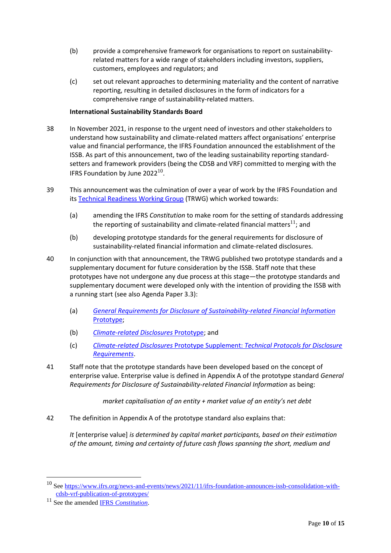- (b) provide a comprehensive framework for organisations to report on sustainabilityrelated matters for a wide range of stakeholders including investors, suppliers, customers, employees and regulators; and
- (c) set out relevant approaches to determining materiality and the content of narrative reporting, resulting in detailed disclosures in the form of indicators for a comprehensive range of sustainability-related matters.

# **International Sustainability Standards Board**

- 38 In November 2021, in response to the urgent need of investors and other stakeholders to understand how sustainability and climate-related matters affect organisations' enterprise value and financial performance, the IFRS Foundation announced the establishment of the ISSB. As part of this announcement, two of the leading sustainability reporting standardsetters and framework providers (being the CDSB and VRF) committed to merging with the IFRS Foundation by June 2022 $^{10}$ .
- 39 This announcement was the culmination of over a year of work by the IFRS Foundation and its [Technical Readiness Working Group](https://www.ifrs.org/groups/technical-readiness-working-group/) (TRWG) which worked towards:
	- (a) amending the IFRS *Constitution* to make room for the setting of standards addressing the reporting of sustainability and climate-related financial matters<sup>11</sup>; and
	- (b) developing prototype standards for the general requirements for disclosure of sustainability-related financial information and climate-related disclosures.
- 40 In conjunction with that announcement, the TRWG published two prototype standards and a supplementary document for future consideration by the ISSB. Staff note that these prototypes have not undergone any due process at this stage—the prototype standards and supplementary document were developed only with the intention of providing the ISSB with a running start (see also Agenda Paper 3.3):
	- (a) *[General Requirements for Disclosure of Sustainability-related Financial Information](https://www.ifrs.org/content/dam/ifrs/groups/trwg/trwg-general-requirements-prototype.pdf)* [Prototype;](https://www.ifrs.org/content/dam/ifrs/groups/trwg/trwg-general-requirements-prototype.pdf)
	- (b) *[Climate-related Disclosures](https://www.ifrs.org/content/dam/ifrs/groups/trwg/trwg-climate-related-disclosures-prototype.pdf)* Prototype; and
	- (c) *Climate-related Disclosures* Prototype Supplement: *[Technical Protocols for Disclosure](https://www.ifrs.org/content/dam/ifrs/groups/trwg/climate-related-disclosures-prototype-technical-protocols-supplement.pdf)  [Requirements](https://www.ifrs.org/content/dam/ifrs/groups/trwg/climate-related-disclosures-prototype-technical-protocols-supplement.pdf)*.
- 41 Staff note that the prototype standards have been developed based on the concept of enterprise value. Enterprise value is defined in Appendix A of the prototype standard *General Requirements for Disclosure of Sustainability-related Financial Information* as being:

*market capitalisation of an entity + market value of an entity's net debt*

42 The definition in Appendix A of the prototype standard also explains that:

*It* [enterprise value] *is determined by capital market participants, based on their estimation of the amount, timing and certainty of future cash flows spanning the short, medium and* 

<sup>&</sup>lt;sup>10</sup> Se[e https://www.ifrs.org/news-and-events/news/2021/11/ifrs-foundation-announces-issb-consolidation-with](https://www.ifrs.org/news-and-events/news/2021/11/ifrs-foundation-announces-issb-consolidation-with-cdsb-vrf-publication-of-prototypes/)[cdsb-vrf-publication-of-prototypes/](https://www.ifrs.org/news-and-events/news/2021/11/ifrs-foundation-announces-issb-consolidation-with-cdsb-vrf-publication-of-prototypes/)

<sup>11</sup> See the amended IFRS *[Constitution](https://www.ifrs.org/content/dam/ifrs/about-us/legal-and-governance/constitution-docs/ifrs-foundation-constitution-2021.pdf)*.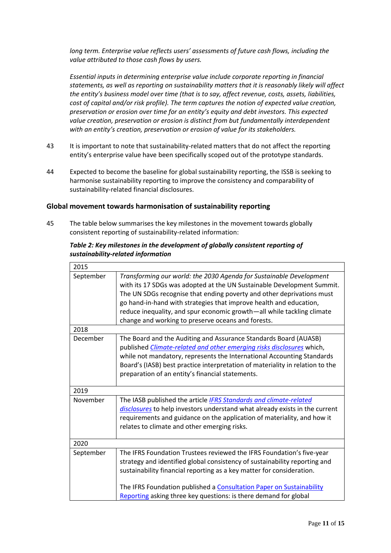*long term. Enterprise value reflects users' assessments of future cash flows, including the value attributed to those cash flows by users.*

*Essential inputs in determining enterprise value include corporate reporting in financial statements, as well as reporting on sustainability matters that it is reasonably likely will affect the entity's business model over time (that is to say, affect revenue, costs, assets, liabilities, cost of capital and/or risk profile). The term captures the notion of expected value creation, preservation or erosion over time for an entity's equity and debt investors. This expected value creation, preservation or erosion is distinct from but fundamentally interdependent with an entity's creation, preservation or erosion of value for its stakeholders.*

- 43 It is important to note that sustainability-related matters that do not affect the reporting entity's enterprise value have been specifically scoped out of the prototype standards.
- 44 Expected to become the baseline for global sustainability reporting, the ISSB is seeking to harmonise sustainability reporting to improve the consistency and comparability of sustainability-related financial disclosures.

# **Global movement towards harmonisation of sustainability reporting**

45 The table below summarises the key milestones in the movement towards globally consistent reporting of sustainability-related information:

# *Table 2: Key milestones in the development of globally consistent reporting of sustainability-related information*

| 2015      |                                                                                                                                                                                                                                                                                                                                                                                                                              |
|-----------|------------------------------------------------------------------------------------------------------------------------------------------------------------------------------------------------------------------------------------------------------------------------------------------------------------------------------------------------------------------------------------------------------------------------------|
| September | Transforming our world: the 2030 Agenda for Sustainable Development<br>with its 17 SDGs was adopted at the UN Sustainable Development Summit.<br>The UN SDGs recognise that ending poverty and other deprivations must<br>go hand-in-hand with strategies that improve health and education,<br>reduce inequality, and spur economic growth-all while tackling climate<br>change and working to preserve oceans and forests. |
| 2018      |                                                                                                                                                                                                                                                                                                                                                                                                                              |
| December  | The Board and the Auditing and Assurance Standards Board (AUASB)<br>published <i>Climate-related and other emerging risks disclosures</i> which,<br>while not mandatory, represents the International Accounting Standards<br>Board's (IASB) best practice interpretation of materiality in relation to the<br>preparation of an entity's financial statements.                                                              |
| 2019      |                                                                                                                                                                                                                                                                                                                                                                                                                              |
| November  | The IASB published the article <b>IFRS Standards and climate-related</b><br>disclosures to help investors understand what already exists in the current<br>requirements and guidance on the application of materiality, and how it<br>relates to climate and other emerging risks.                                                                                                                                           |
| 2020      |                                                                                                                                                                                                                                                                                                                                                                                                                              |
| September | The IFRS Foundation Trustees reviewed the IFRS Foundation's five-year<br>strategy and identified global consistency of sustainability reporting and<br>sustainability financial reporting as a key matter for consideration.<br>The IFRS Foundation published a Consultation Paper on Sustainability<br>Reporting asking three key questions: is there demand for global                                                     |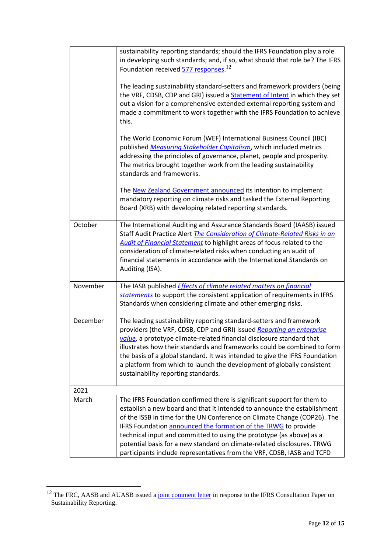|          | sustainability reporting standards; should the IFRS Foundation play a role<br>in developing such standards; and, if so, what should that role be? The IFRS<br>Foundation received 577 responses. <sup>12</sup><br>The leading sustainability standard-setters and framework providers (being<br>the VRF, CDSB, CDP and GRI) issued a <b>Statement of Intent</b> in which they set<br>out a vision for a comprehensive extended external reporting system and<br>made a commitment to work together with the IFRS Foundation to achieve<br>this. |
|----------|-------------------------------------------------------------------------------------------------------------------------------------------------------------------------------------------------------------------------------------------------------------------------------------------------------------------------------------------------------------------------------------------------------------------------------------------------------------------------------------------------------------------------------------------------|
|          | The World Economic Forum (WEF) International Business Council (IBC)<br>published Measuring Stakeholder Capitalism, which included metrics<br>addressing the principles of governance, planet, people and prosperity.<br>The metrics brought together work from the leading sustainability<br>standards and frameworks.                                                                                                                                                                                                                          |
|          | The New Zealand Government announced its intention to implement<br>mandatory reporting on climate risks and tasked the External Reporting<br>Board (XRB) with developing related reporting standards.                                                                                                                                                                                                                                                                                                                                           |
| October  | The International Auditing and Assurance Standards Board (IAASB) issued<br>Staff Audit Practice Alert The Consideration of Climate-Related Risks in an<br><b>Audit of Financial Statement</b> to highlight areas of focus related to the<br>consideration of climate-related risks when conducting an audit of<br>financial statements in accordance with the International Standards on<br>Auditing (ISA).                                                                                                                                     |
| November | The IASB published <i>Effects of climate related matters on financial</i><br>statements to support the consistent application of requirements in IFRS<br>Standards when considering climate and other emerging risks.                                                                                                                                                                                                                                                                                                                           |
| December | The leading sustainability reporting standard-setters and framework<br>providers (the VRF, CDSB, CDP and GRI) issued Reporting on enterprise<br>value, a prototype climate-related financial disclosure standard that<br>illustrates how their standards and frameworks could be combined to form<br>the basis of a global standard. It was intended to give the IFRS Foundation<br>a platform from which to launch the development of globally consistent<br>sustainability reporting standards.                                               |
| 2021     |                                                                                                                                                                                                                                                                                                                                                                                                                                                                                                                                                 |
| March    | The IFRS Foundation confirmed there is significant support for them to<br>establish a new board and that it intended to announce the establishment<br>of the ISSB in time for the UN Conference on Climate Change (COP26). The<br>IFRS Foundation announced the formation of the TRWG to provide<br>technical input and committed to using the prototype (as above) as a<br>potential basis for a new standard on climate-related disclosures. TRWG<br>participants include representatives from the VRF, CDSB, IASB and TCFD                   |

<sup>&</sup>lt;sup>12</sup> The FRC, AASB and AUASB issued a [joint comment letter](http://eifrs.ifrs.org/eifrs/comment_letters/570/570_27392_JAMESBARDENFinancialReportingCouncilFRCAustralianAccountingStandardsBoardAASBandAuditingandAssuranceStandardsBoardAUASB_0_JointLettertoIFRS_CP_SustainabilityReporting_20201222.pdf) in response to the IFRS Consultation Paper on Sustainability Reporting.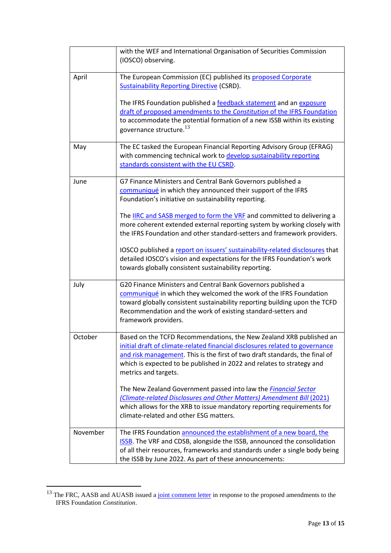|          | with the WEF and International Organisation of Securities Commission<br>(IOSCO) observing.                                                                                                                                                                                                                                                                                                                                                                                                                                                                                                                                                      |
|----------|-------------------------------------------------------------------------------------------------------------------------------------------------------------------------------------------------------------------------------------------------------------------------------------------------------------------------------------------------------------------------------------------------------------------------------------------------------------------------------------------------------------------------------------------------------------------------------------------------------------------------------------------------|
| April    | The European Commission (EC) published its proposed Corporate<br><b>Sustainability Reporting Directive (CSRD).</b><br>The IFRS Foundation published a feedback statement and an exposure<br>draft of proposed amendments to the Constitution of the IFRS Foundation<br>to accommodate the potential formation of a new ISSB within its existing<br>governance structure. $^{13}$                                                                                                                                                                                                                                                                |
| May      | The EC tasked the European Financial Reporting Advisory Group (EFRAG)<br>with commencing technical work to develop sustainability reporting<br>standards consistent with the EU CSRD.                                                                                                                                                                                                                                                                                                                                                                                                                                                           |
| June     | G7 Finance Ministers and Central Bank Governors published a<br>communiqué in which they announced their support of the IFRS<br>Foundation's initiative on sustainability reporting.<br>The <b>IIRC</b> and SASB merged to form the VRF and committed to delivering a<br>more coherent extended external reporting system by working closely with<br>the IFRS Foundation and other standard-setters and framework providers.<br>IOSCO published a report on issuers' sustainability-related disclosures that<br>detailed IOSCO's vision and expectations for the IFRS Foundation's work<br>towards globally consistent sustainability reporting. |
| July     | G20 Finance Ministers and Central Bank Governors published a<br>communiqué in which they welcomed the work of the IFRS Foundation<br>toward globally consistent sustainability reporting building upon the TCFD<br>Recommendation and the work of existing standard-setters and<br>framework providers.                                                                                                                                                                                                                                                                                                                                         |
| October  | Based on the TCFD Recommendations, the New Zealand XRB published an<br>initial draft of climate-related financial disclosures related to governance<br>and risk management. This is the first of two draft standards, the final of<br>which is expected to be published in 2022 and relates to strategy and<br>metrics and targets.<br>The New Zealand Government passed into law the <i>Financial Sector</i><br>(Climate-related Disclosures and Other Matters) Amendment Bill (2021)<br>which allows for the XRB to issue mandatory reporting requirements for<br>climate-related and other ESG matters.                                      |
| November | The IFRS Foundation announced the establishment of a new board, the<br><b>ISSB.</b> The VRF and CDSB, alongside the ISSB, announced the consolidation<br>of all their resources, frameworks and standards under a single body being<br>the ISSB by June 2022. As part of these announcements:                                                                                                                                                                                                                                                                                                                                                   |

<sup>&</sup>lt;sup>13</sup> The FRC, AASB and AUASB issued a [joint comment letter](http://eifrs.ifrs.org/eifrs/comment_letters/590/590_28642_EvelynLingFinancialReportingCouncilAustralianAccountingStandardsBoardandtheAuditingandAssuranceStandardsBoard_0_JointLettertoIFRSTrustees_ED_SustainabilityReporting_20210729.pdf) in response to the proposed amendments to the IFRS Foundation *Constitution*.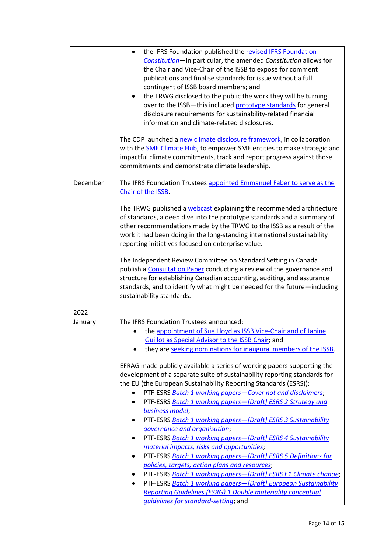|          | the IFRS Foundation published the revised IFRS Foundation<br>Constitution-in particular, the amended Constitution allows for<br>the Chair and Vice-Chair of the ISSB to expose for comment<br>publications and finalise standards for issue without a full<br>contingent of ISSB board members; and<br>the TRWG disclosed to the public the work they will be turning<br>over to the ISSB-this included prototype standards for general<br>disclosure requirements for sustainability-related financial<br>information and climate-related disclosures.<br>The CDP launched a new climate disclosure framework, in collaboration<br>with the <b>SME Climate Hub</b> , to empower SME entities to make strategic and |
|----------|---------------------------------------------------------------------------------------------------------------------------------------------------------------------------------------------------------------------------------------------------------------------------------------------------------------------------------------------------------------------------------------------------------------------------------------------------------------------------------------------------------------------------------------------------------------------------------------------------------------------------------------------------------------------------------------------------------------------|
|          | impactful climate commitments, track and report progress against those<br>commitments and demonstrate climate leadership.                                                                                                                                                                                                                                                                                                                                                                                                                                                                                                                                                                                           |
| December | The IFRS Foundation Trustees appointed Emmanuel Faber to serve as the<br>Chair of the ISSB.                                                                                                                                                                                                                                                                                                                                                                                                                                                                                                                                                                                                                         |
|          | The TRWG published a webcast explaining the recommended architecture<br>of standards, a deep dive into the prototype standards and a summary of<br>other recommendations made by the TRWG to the ISSB as a result of the<br>work it had been doing in the long-standing international sustainability<br>reporting initiatives focused on enterprise value.                                                                                                                                                                                                                                                                                                                                                          |
|          | The Independent Review Committee on Standard Setting in Canada<br>publish a Consultation Paper conducting a review of the governance and<br>structure for establishing Canadian accounting, auditing, and assurance<br>standards, and to identify what might be needed for the future-including<br>sustainability standards.                                                                                                                                                                                                                                                                                                                                                                                        |
| 2022     |                                                                                                                                                                                                                                                                                                                                                                                                                                                                                                                                                                                                                                                                                                                     |
| January  | The IFRS Foundation Trustees announced:<br>the appointment of Sue Lloyd as ISSB Vice-Chair and of Janine<br>Guillot as Special Advisor to the ISSB Chair: and<br>they are seeking nominations for inaugural members of the ISSB.                                                                                                                                                                                                                                                                                                                                                                                                                                                                                    |
|          | EFRAG made publicly available a series of working papers supporting the<br>development of a separate suite of sustainability reporting standards for<br>the EU (the European Sustainability Reporting Standards (ESRS)):<br>PTF-ESRS Batch 1 working papers-Cover not and disclaimers;<br>$\bullet$                                                                                                                                                                                                                                                                                                                                                                                                                 |
|          | PTF-ESRS Batch 1 working papers-[Draft] ESRS 2 Strategy and<br>$\bullet$<br>business model;                                                                                                                                                                                                                                                                                                                                                                                                                                                                                                                                                                                                                         |
|          | PTF-ESRS Batch 1 working papers-[Draft] ESRS 3 Sustainability<br>$\bullet$                                                                                                                                                                                                                                                                                                                                                                                                                                                                                                                                                                                                                                          |
|          | governance and organisation;                                                                                                                                                                                                                                                                                                                                                                                                                                                                                                                                                                                                                                                                                        |
|          | PTF-ESRS Batch 1 working papers-[Draft] ESRS 4 Sustainability                                                                                                                                                                                                                                                                                                                                                                                                                                                                                                                                                                                                                                                       |
|          | material impacts, risks and opportunities;                                                                                                                                                                                                                                                                                                                                                                                                                                                                                                                                                                                                                                                                          |
|          | PTF-ESRS Batch 1 working papers-[Draft] ESRS 5 Definitions for<br>$\bullet$<br>policies, targets, action plans and resources;                                                                                                                                                                                                                                                                                                                                                                                                                                                                                                                                                                                       |
|          | PTF-ESRS Batch 1 working papers-[Draft] ESRS E1 Climate change;<br>٠                                                                                                                                                                                                                                                                                                                                                                                                                                                                                                                                                                                                                                                |
|          | PTF-ESRS Batch 1 working papers-[Draft] European Sustainability<br>$\bullet$                                                                                                                                                                                                                                                                                                                                                                                                                                                                                                                                                                                                                                        |
|          | <b>Reporting Guidelines (ESRG) 1 Double materiality conceptual</b>                                                                                                                                                                                                                                                                                                                                                                                                                                                                                                                                                                                                                                                  |
|          | <i>guidelines for standard-setting;</i> and                                                                                                                                                                                                                                                                                                                                                                                                                                                                                                                                                                                                                                                                         |